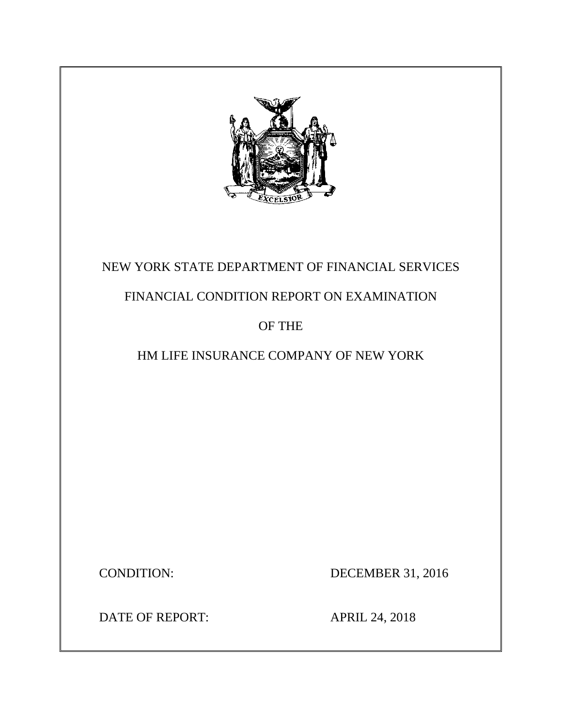

## NEW YORK STATE DEPARTMENT OF FINANCIAL SERVICES

## FINANCIAL CONDITION REPORT ON EXAMINATION

## OF THE

## HM LIFE INSURANCE COMPANY OF NEW YORK

CONDITION: DECEMBER 31, 2016

DATE OF REPORT: APRIL 24, 2018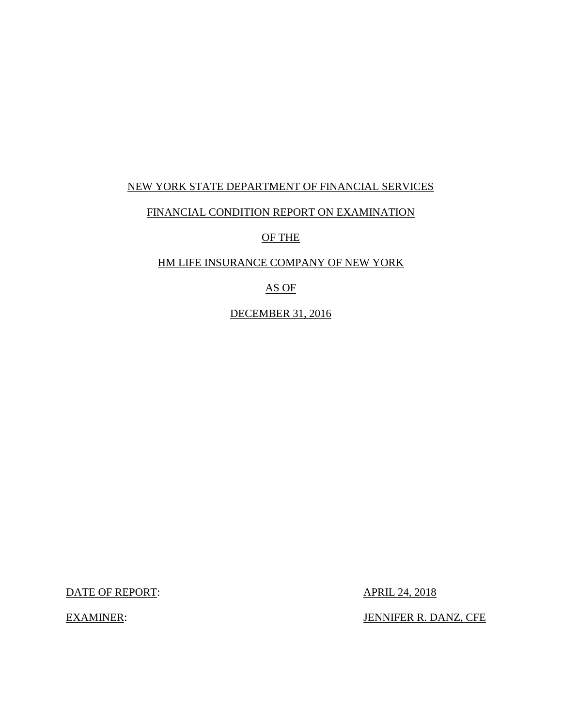### NEW YORK STATE DEPARTMENT OF FINANCIAL SERVICES

### FINANCIAL CONDITION REPORT ON EXAMINATION

OF THE

### HM LIFE INSURANCE COMPANY OF NEW YORK

### AS OF

DECEMBER 31, 2016

DATE OF REPORT: APRIL 24, 2018

EXAMINER: JENNIFER R. DANZ, CFE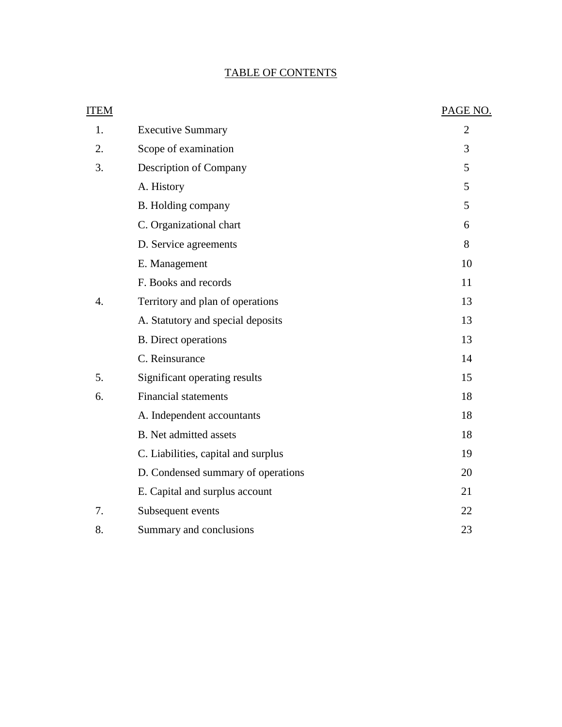## TABLE OF CONTENTS

| <b>ITEM</b>      |                                     | PAGE NO.       |
|------------------|-------------------------------------|----------------|
| 1.               | <b>Executive Summary</b>            | $\overline{2}$ |
| 2.               | Scope of examination                | 3              |
| 3.               | Description of Company              | 5              |
|                  | A. History                          | 5              |
|                  | B. Holding company                  | 5              |
|                  | C. Organizational chart             | 6              |
|                  | D. Service agreements               | 8              |
|                  | E. Management                       | 10             |
|                  | F. Books and records                | 11             |
| $\overline{4}$ . | Territory and plan of operations    | 13             |
|                  | A. Statutory and special deposits   | 13             |
|                  | <b>B.</b> Direct operations         | 13             |
|                  | C. Reinsurance                      | 14             |
| 5.               | Significant operating results       | 15             |
| 6.               | <b>Financial statements</b>         | 18             |
|                  | A. Independent accountants          | 18             |
|                  | <b>B.</b> Net admitted assets       | 18             |
|                  | C. Liabilities, capital and surplus | 19             |
|                  | D. Condensed summary of operations  | 20             |
|                  | E. Capital and surplus account      | 21             |
| 7.               | Subsequent events                   | 22             |
| 8.               | Summary and conclusions             | 23             |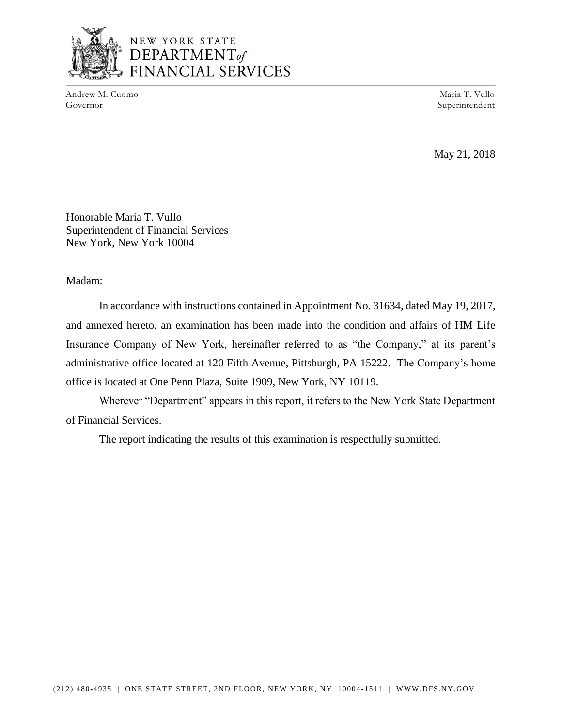

## NEW YORK STATE DEPARTMENT<sub>of</sub> FINANCIAL SERVICES

Andrew M. Cuomo Governor

Maria T. Vullo Superintendent

May 21, 2018

Honorable Maria T. Vullo Superintendent of Financial Services New York, New York 10004

Madam:

In accordance with instructions contained in Appointment No. 31634, dated May 19, 2017, and annexed hereto, an examination has been made into the condition and affairs of HM Life Insurance Company of New York, hereinafter referred to as "the Company," at its parent's administrative office located at 120 Fifth Avenue, Pittsburgh, PA 15222. The Company's home office is located at One Penn Plaza, Suite 1909, New York, NY 10119.

Wherever "Department" appears in this report, it refers to the New York State Department of Financial Services.

The report indicating the results of this examination is respectfully submitted.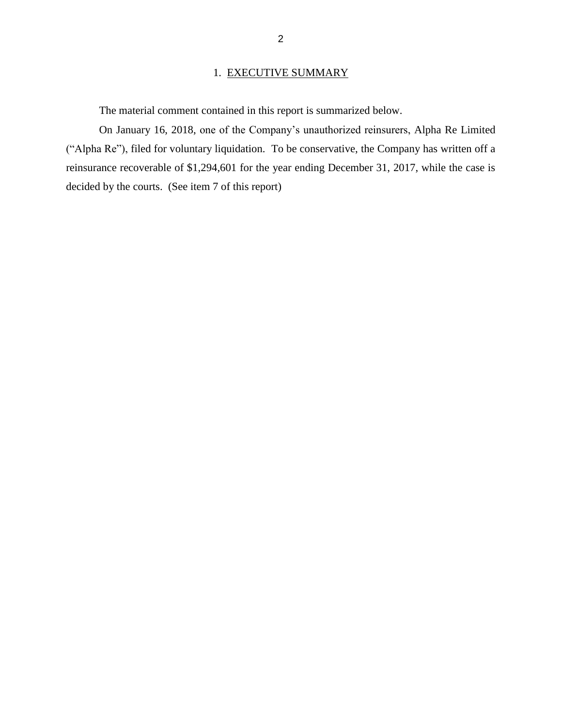### 1. EXECUTIVE SUMMARY

The material comment contained in this report is summarized below.

On January 16, 2018, one of the Company's unauthorized reinsurers, Alpha Re Limited ("Alpha Re"), filed for voluntary liquidation. To be conservative, the Company has written off a reinsurance recoverable of \$1,294,601 for the year ending December 31, 2017, while the case is decided by the courts. (See item 7 of this report)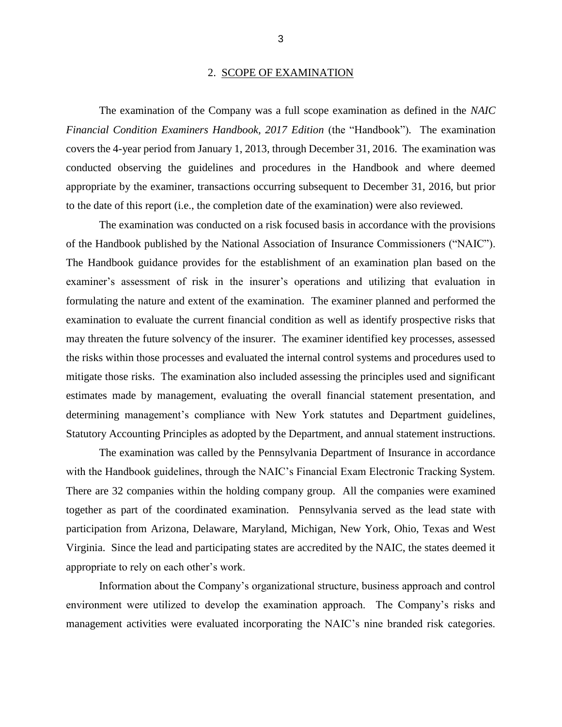#### 2. SCOPE OF EXAMINATION

The examination of the Company was a full scope examination as defined in the *NAIC Financial Condition Examiners Handbook, 2017 Edition (the "Handbook").* The examination covers the 4-year period from January 1, 2013, through December 31, 2016. The examination was conducted observing the guidelines and procedures in the Handbook and where deemed appropriate by the examiner, transactions occurring subsequent to December 31, 2016, but prior to the date of this report (i.e., the completion date of the examination) were also reviewed.

The examination was conducted on a risk focused basis in accordance with the provisions of the Handbook published by the National Association of Insurance Commissioners ("NAIC"). The Handbook guidance provides for the establishment of an examination plan based on the examiner's assessment of risk in the insurer's operations and utilizing that evaluation in formulating the nature and extent of the examination. The examiner planned and performed the examination to evaluate the current financial condition as well as identify prospective risks that may threaten the future solvency of the insurer. The examiner identified key processes, assessed the risks within those processes and evaluated the internal control systems and procedures used to mitigate those risks. The examination also included assessing the principles used and significant estimates made by management, evaluating the overall financial statement presentation, and determining management's compliance with New York statutes and Department guidelines, Statutory Accounting Principles as adopted by the Department, and annual statement instructions.

The examination was called by the Pennsylvania Department of Insurance in accordance with the Handbook guidelines, through the NAIC's Financial Exam Electronic Tracking System. There are 32 companies within the holding company group. All the companies were examined together as part of the coordinated examination. Pennsylvania served as the lead state with participation from Arizona, Delaware, Maryland, Michigan, New York, Ohio, Texas and West Virginia. Since the lead and participating states are accredited by the NAIC, the states deemed it appropriate to rely on each other's work.

Information about the Company's organizational structure, business approach and control environment were utilized to develop the examination approach. The Company's risks and management activities were evaluated incorporating the NAIC's nine branded risk categories.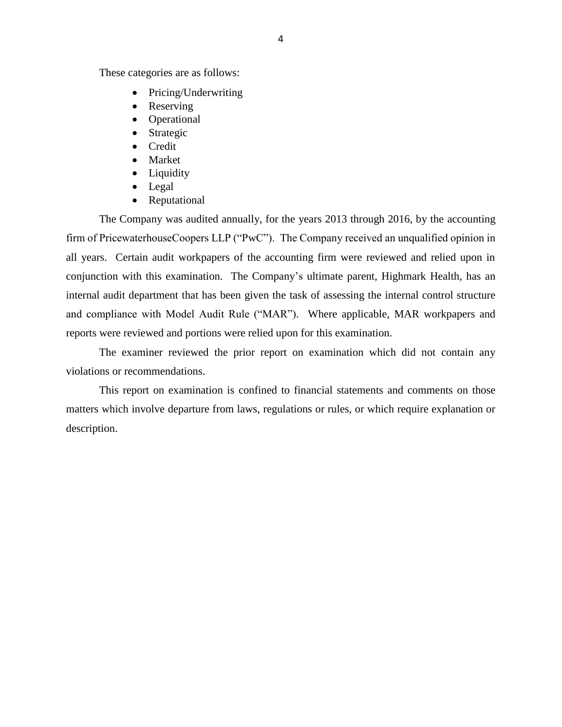These categories are as follows:

- Pricing/Underwriting
- Reserving
- Operational
- Strategic
- Credit
- Market
- Liquidity
- Legal
- Reputational

The Company was audited annually, for the years 2013 through 2016, by the accounting firm of PricewaterhouseCoopers LLP ("PwC"). The Company received an unqualified opinion in all years. Certain audit workpapers of the accounting firm were reviewed and relied upon in conjunction with this examination. The Company's ultimate parent, Highmark Health, has an internal audit department that has been given the task of assessing the internal control structure and compliance with Model Audit Rule ("MAR"). Where applicable, MAR workpapers and reports were reviewed and portions were relied upon for this examination.

The examiner reviewed the prior report on examination which did not contain any violations or recommendations.

This report on examination is confined to financial statements and comments on those matters which involve departure from laws, regulations or rules, or which require explanation or description.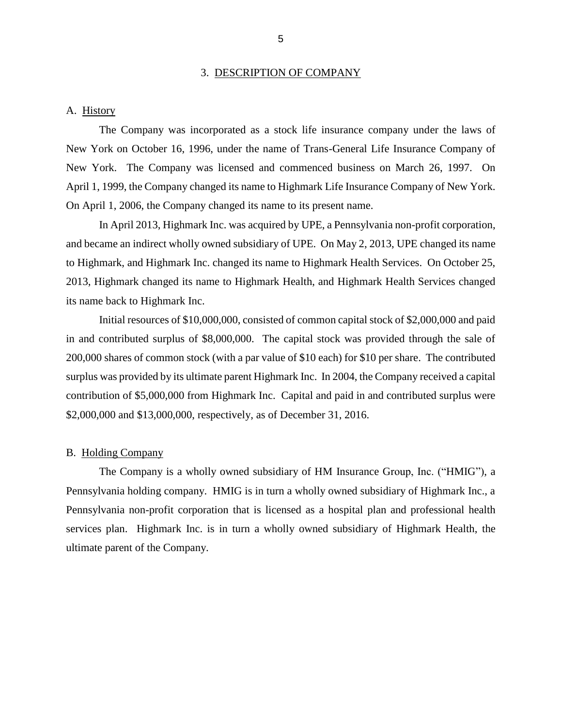#### 3. DESCRIPTION OF COMPANY

#### A. History

The Company was incorporated as a stock life insurance company under the laws of New York on October 16, 1996, under the name of Trans-General Life Insurance Company of New York. The Company was licensed and commenced business on March 26, 1997. On April 1, 1999, the Company changed its name to Highmark Life Insurance Company of New York. On April 1, 2006, the Company changed its name to its present name.

In April 2013, Highmark Inc. was acquired by UPE, a Pennsylvania non-profit corporation, and became an indirect wholly owned subsidiary of UPE. On May 2, 2013, UPE changed its name to Highmark, and Highmark Inc. changed its name to Highmark Health Services. On October 25, 2013, Highmark changed its name to Highmark Health, and Highmark Health Services changed its name back to Highmark Inc.

Initial resources of \$10,000,000, consisted of common capital stock of \$2,000,000 and paid in and contributed surplus of \$8,000,000. The capital stock was provided through the sale of 200,000 shares of common stock (with a par value of \$10 each) for \$10 per share. The contributed surplus was provided by its ultimate parent Highmark Inc. In 2004, the Company received a capital contribution of \$5,000,000 from Highmark Inc. Capital and paid in and contributed surplus were \$2,000,000 and \$13,000,000, respectively, as of December 31, 2016.

#### B. Holding Company

The Company is a wholly owned subsidiary of HM Insurance Group, Inc. ("HMIG"), a Pennsylvania holding company. HMIG is in turn a wholly owned subsidiary of Highmark Inc., a Pennsylvania non-profit corporation that is licensed as a hospital plan and professional health services plan. Highmark Inc. is in turn a wholly owned subsidiary of Highmark Health, the ultimate parent of the Company.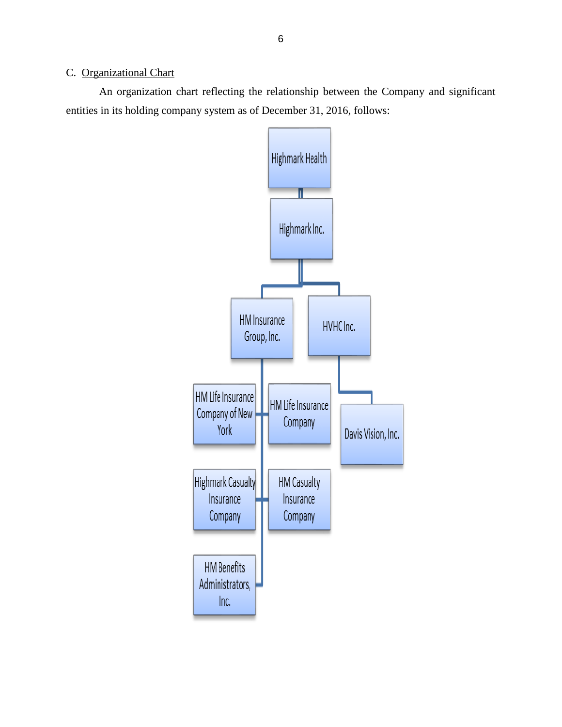### C. Organizational Chart

An organization chart reflecting the relationship between the Company and significant entities in its holding company system as of December 31, 2016, follows:

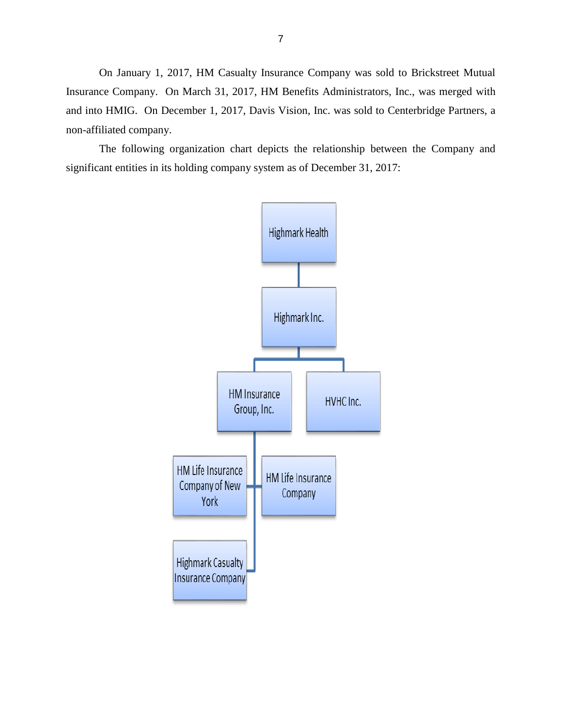On January 1, 2017, HM Casualty Insurance Company was sold to Brickstreet Mutual Insurance Company. On March 31, 2017, HM Benefits Administrators, Inc., was merged with and into HMIG. On December 1, 2017, Davis Vision, Inc. was sold to Centerbridge Partners, a non-affiliated company.

The following organization chart depicts the relationship between the Company and significant entities in its holding company system as of December 31, 2017:

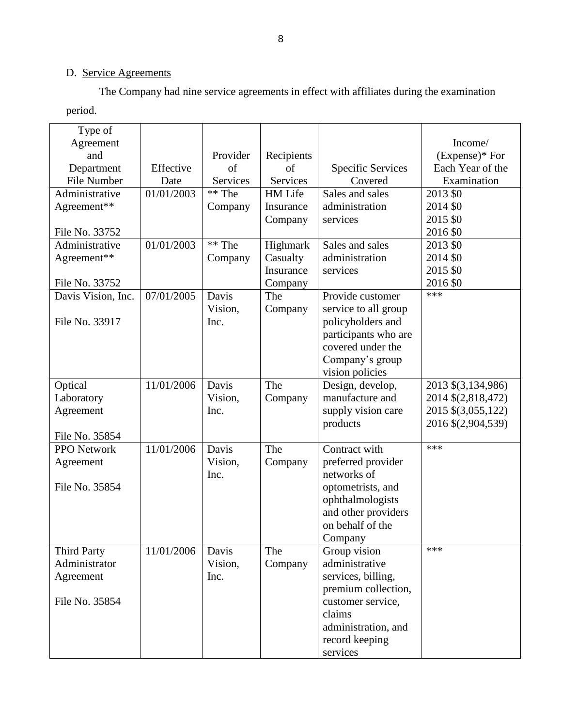## D. Service Agreements

The Company had nine service agreements in effect with affiliates during the examination period.

| Type of            |            |          |            |                          |                    |
|--------------------|------------|----------|------------|--------------------------|--------------------|
| Agreement          |            |          |            |                          | Income/            |
| and                |            | Provider | Recipients |                          | $(Express)*$ For   |
| Department         | Effective  | of       | of         | <b>Specific Services</b> | Each Year of the   |
| File Number        | Date       | Services | Services   | Covered                  | Examination        |
| Administrative     | 01/01/2003 | ** The   | HM Life    | Sales and sales          | 2013 \$0           |
| Agreement**        |            | Company  | Insurance  | administration           | 2014 \$0           |
|                    |            |          | Company    | services                 | 2015 \$0           |
| File No. 33752     |            |          |            |                          | 2016 \$0           |
| Administrative     | 01/01/2003 | ** The   | Highmark   | Sales and sales          | 2013 \$0           |
| Agreement**        |            | Company  | Casualty   | administration           | 2014 \$0           |
|                    |            |          | Insurance  | services                 | 2015 \$0           |
| File No. 33752     |            |          | Company    |                          | 2016 \$0           |
| Davis Vision, Inc. | 07/01/2005 | Davis    | The        | Provide customer         | ***                |
|                    |            | Vision,  | Company    | service to all group     |                    |
| File No. 33917     |            | Inc.     |            | policyholders and        |                    |
|                    |            |          |            | participants who are     |                    |
|                    |            |          |            | covered under the        |                    |
|                    |            |          |            | Company's group          |                    |
|                    |            |          |            | vision policies          |                    |
| Optical            | 11/01/2006 | Davis    | The        | Design, develop,         | 2013 \$(3,134,986) |
| Laboratory         |            | Vision,  | Company    | manufacture and          | 2014 \$(2,818,472) |
| Agreement          |            | Inc.     |            | supply vision care       | 2015 \$(3,055,122) |
|                    |            |          |            | products                 | 2016 \$(2,904,539) |
| File No. 35854     |            |          |            |                          |                    |
| <b>PPO</b> Network | 11/01/2006 | Davis    | The        | Contract with            | ***                |
| Agreement          |            | Vision,  | Company    | preferred provider       |                    |
|                    |            | Inc.     |            | networks of              |                    |
| File No. 35854     |            |          |            | optometrists, and        |                    |
|                    |            |          |            | ophthalmologists         |                    |
|                    |            |          |            | and other providers      |                    |
|                    |            |          |            | on behalf of the         |                    |
|                    |            |          |            | Company                  |                    |
| <b>Third Party</b> | 11/01/2006 | Davis    | The        | Group vision             | ***                |
| Administrator      |            | Vision,  | Company    | administrative           |                    |
| Agreement          |            | Inc.     |            | services, billing,       |                    |
|                    |            |          |            | premium collection,      |                    |
| File No. 35854     |            |          |            | customer service,        |                    |
|                    |            |          |            | claims                   |                    |
|                    |            |          |            | administration, and      |                    |
|                    |            |          |            | record keeping           |                    |
|                    |            |          |            | services                 |                    |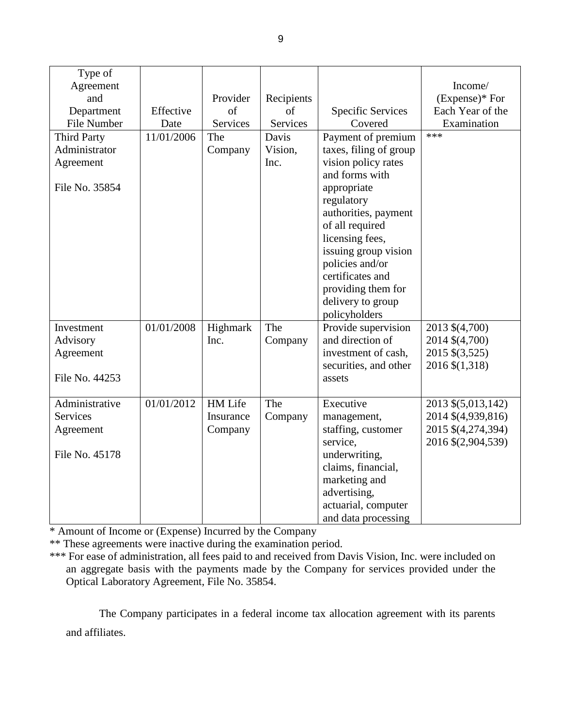| Type of            |            |            |            |                          |                    |
|--------------------|------------|------------|------------|--------------------------|--------------------|
| Agreement          |            |            |            |                          | Income/            |
| and                |            | Provider   | Recipients |                          | (Expense)* For     |
| Department         | Effective  | $\sigma$ f | of         | <b>Specific Services</b> | Each Year of the   |
|                    |            |            |            | Covered                  |                    |
| File Number        | Date       | Services   | Services   |                          | Examination<br>*** |
| <b>Third Party</b> | 11/01/2006 | The        | Davis      | Payment of premium       |                    |
| Administrator      |            | Company    | Vision,    | taxes, filing of group   |                    |
| Agreement          |            |            | Inc.       | vision policy rates      |                    |
|                    |            |            |            | and forms with           |                    |
| File No. 35854     |            |            |            | appropriate              |                    |
|                    |            |            |            | regulatory               |                    |
|                    |            |            |            | authorities, payment     |                    |
|                    |            |            |            | of all required          |                    |
|                    |            |            |            | licensing fees,          |                    |
|                    |            |            |            | issuing group vision     |                    |
|                    |            |            |            | policies and/or          |                    |
|                    |            |            |            | certificates and         |                    |
|                    |            |            |            | providing them for       |                    |
|                    |            |            |            | delivery to group        |                    |
|                    |            |            |            | policyholders            |                    |
| Investment         | 01/01/2008 | Highmark   | The        | Provide supervision      | 2013 \$(4,700)     |
| Advisory           |            | Inc.       | Company    | and direction of         | 2014 \$(4,700)     |
|                    |            |            |            |                          |                    |
| Agreement          |            |            |            | investment of cash,      | 2015 \$(3,525)     |
|                    |            |            |            | securities, and other    | 2016 \$(1,318)     |
| File No. 44253     |            |            |            | assets                   |                    |
|                    |            |            |            |                          |                    |
| Administrative     | 01/01/2012 | HM Life    | The        | Executive                | 2013 \$(5,013,142) |
| <b>Services</b>    |            | Insurance  | Company    | management,              | 2014 \$(4,939,816) |
| Agreement          |            | Company    |            | staffing, customer       | 2015 \$(4,274,394) |
|                    |            |            |            | service,                 | 2016 \$(2,904,539) |
| File No. 45178     |            |            |            | underwriting,            |                    |
|                    |            |            |            | claims, financial,       |                    |
|                    |            |            |            | marketing and            |                    |
|                    |            |            |            | advertising,             |                    |
|                    |            |            |            | actuarial, computer      |                    |
|                    |            |            |            | and data processing      |                    |

\* Amount of Income or (Expense) Incurred by the Company

\*\* These agreements were inactive during the examination period.

\*\*\* For ease of administration, all fees paid to and received from Davis Vision, Inc. were included on an aggregate basis with the payments made by the Company for services provided under the Optical Laboratory Agreement, File No. 35854.

The Company participates in a federal income tax allocation agreement with its parents and affiliates.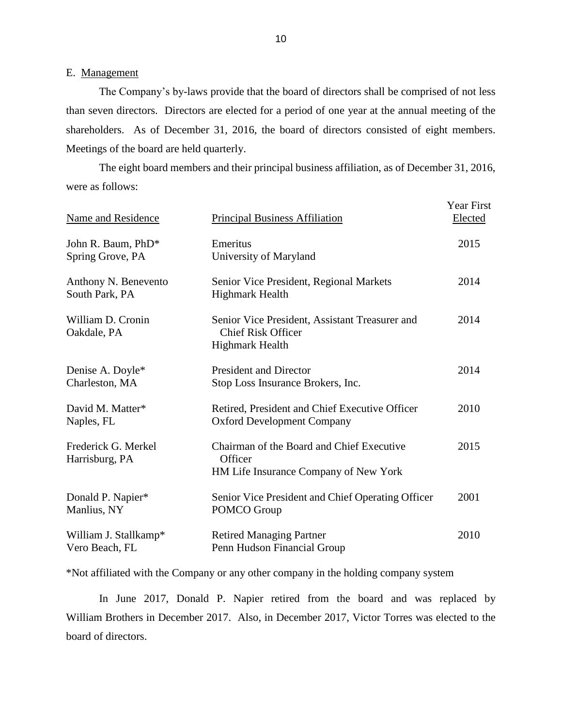#### E. Management

The Company's by-laws provide that the board of directors shall be comprised of not less than seven directors. Directors are elected for a period of one year at the annual meeting of the shareholders. As of December 31, 2016, the board of directors consisted of eight members. Meetings of the board are held quarterly.

The eight board members and their principal business affiliation, as of December 31, 2016, were as follows:

| Name and Residence                      | <b>Principal Business Affiliation</b>                                                                 | <b>Year First</b><br>Elected |
|-----------------------------------------|-------------------------------------------------------------------------------------------------------|------------------------------|
| John R. Baum, PhD*<br>Spring Grove, PA  | Emeritus<br>University of Maryland                                                                    | 2015                         |
| Anthony N. Benevento<br>South Park, PA  | Senior Vice President, Regional Markets<br><b>Highmark Health</b>                                     | 2014                         |
| William D. Cronin<br>Oakdale, PA        | Senior Vice President, Assistant Treasurer and<br><b>Chief Risk Officer</b><br><b>Highmark Health</b> | 2014                         |
| Denise A. Doyle*<br>Charleston, MA      | <b>President and Director</b><br>Stop Loss Insurance Brokers, Inc.                                    | 2014                         |
| David M. Matter*<br>Naples, FL          | Retired, President and Chief Executive Officer<br><b>Oxford Development Company</b>                   | 2010                         |
| Frederick G. Merkel<br>Harrisburg, PA   | Chairman of the Board and Chief Executive<br>Officer<br>HM Life Insurance Company of New York         | 2015                         |
| Donald P. Napier*<br>Manlius, NY        | Senior Vice President and Chief Operating Officer<br>POMCO Group                                      | 2001                         |
| William J. Stallkamp*<br>Vero Beach, FL | <b>Retired Managing Partner</b><br>Penn Hudson Financial Group                                        | 2010                         |

\*Not affiliated with the Company or any other company in the holding company system

In June 2017, Donald P. Napier retired from the board and was replaced by William Brothers in December 2017. Also, in December 2017, Victor Torres was elected to the board of directors.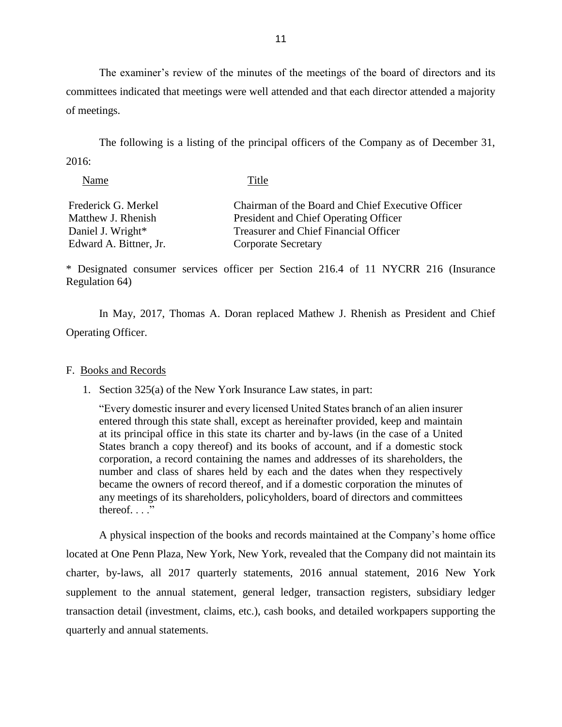The examiner's review of the minutes of the meetings of the board of directors and its committees indicated that meetings were well attended and that each director attended a majority of meetings.

The following is a listing of the principal officers of the Company as of December 31, 2016:

| Name                   | Title                                             |
|------------------------|---------------------------------------------------|
| Frederick G. Merkel    | Chairman of the Board and Chief Executive Officer |
| Matthew J. Rhenish     | President and Chief Operating Officer             |
| Daniel J. Wright*      | <b>Treasurer and Chief Financial Officer</b>      |
| Edward A. Bittner, Jr. | <b>Corporate Secretary</b>                        |

\* Designated consumer services officer per Section 216.4 of 11 NYCRR 216 (Insurance Regulation 64)

In May, 2017, Thomas A. Doran replaced Mathew J. Rhenish as President and Chief Operating Officer.

#### F. Books and Records

1. Section 325(a) of the New York Insurance Law states, in part:

"Every domestic insurer and every licensed United States branch of an alien insurer entered through this state shall, except as hereinafter provided, keep and maintain at its principal office in this state its charter and by-laws (in the case of a United States branch a copy thereof) and its books of account, and if a domestic stock corporation, a record containing the names and addresses of its shareholders, the number and class of shares held by each and the dates when they respectively became the owners of record thereof, and if a domestic corporation the minutes of any meetings of its shareholders, policyholders, board of directors and committees thereof.  $\ldots$ "

A physical inspection of the books and records maintained at the Company's home office located at One Penn Plaza, New York, New York, revealed that the Company did not maintain its charter, by-laws, all 2017 quarterly statements, 2016 annual statement, 2016 New York supplement to the annual statement, general ledger, transaction registers, subsidiary ledger transaction detail (investment, claims, etc.), cash books, and detailed workpapers supporting the quarterly and annual statements.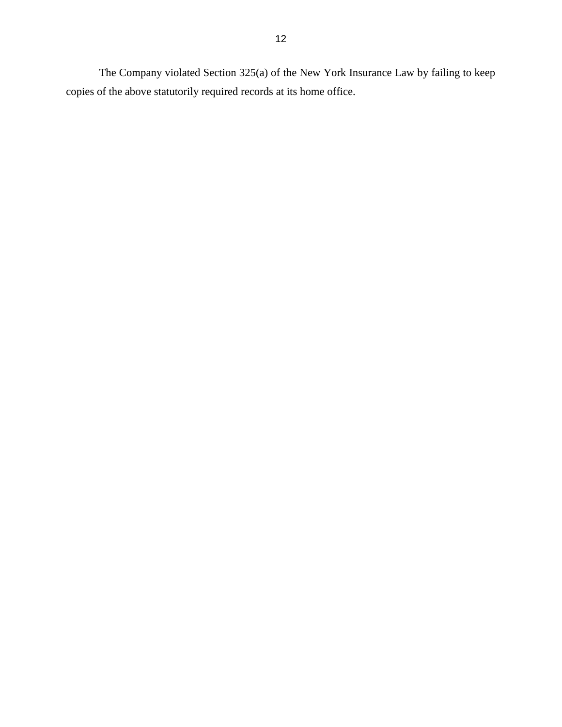The Company violated Section 325(a) of the New York Insurance Law by failing to keep copies of the above statutorily required records at its home office.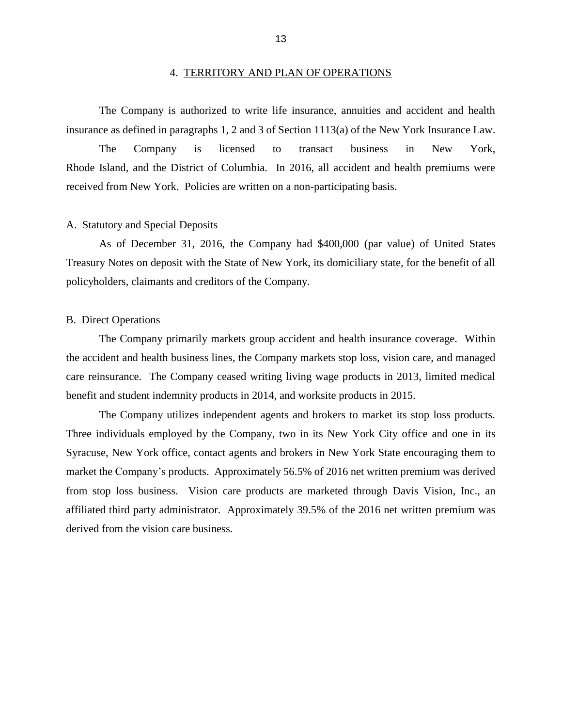The Company is authorized to write life insurance, annuities and accident and health insurance as defined in paragraphs 1, 2 and 3 of Section 1113(a) of the New York Insurance Law.

The Company is licensed to transact business in New York, Rhode Island, and the District of Columbia. In 2016, all accident and health premiums were received from New York. Policies are written on a non-participating basis.

#### A. Statutory and Special Deposits

As of December 31, 2016, the Company had \$400,000 (par value) of United States Treasury Notes on deposit with the State of New York, its domiciliary state, for the benefit of all policyholders, claimants and creditors of the Company.

#### B. Direct Operations

The Company primarily markets group accident and health insurance coverage. Within the accident and health business lines, the Company markets stop loss, vision care, and managed care reinsurance. The Company ceased writing living wage products in 2013, limited medical benefit and student indemnity products in 2014, and worksite products in 2015.

The Company utilizes independent agents and brokers to market its stop loss products. Three individuals employed by the Company, two in its New York City office and one in its Syracuse, New York office, contact agents and brokers in New York State encouraging them to market the Company's products. Approximately 56.5% of 2016 net written premium was derived from stop loss business. Vision care products are marketed through Davis Vision, Inc., an affiliated third party administrator. Approximately 39.5% of the 2016 net written premium was derived from the vision care business.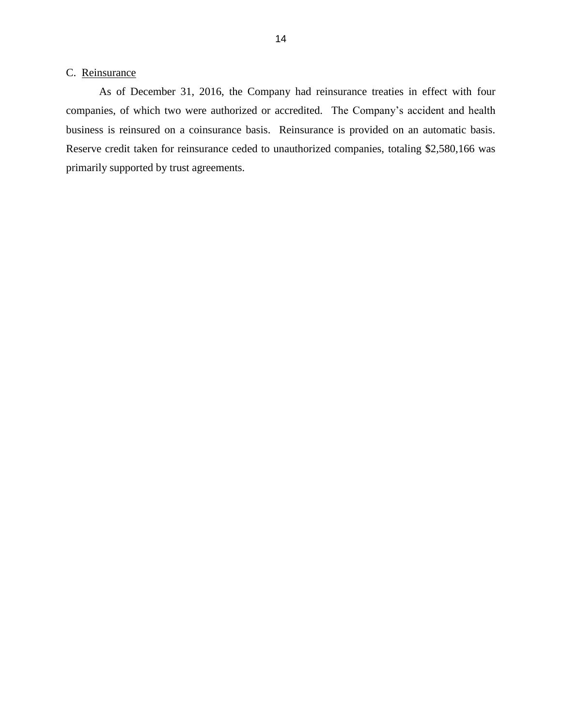### C. Reinsurance

As of December 31, 2016, the Company had reinsurance treaties in effect with four companies, of which two were authorized or accredited. The Company's accident and health business is reinsured on a coinsurance basis. Reinsurance is provided on an automatic basis. Reserve credit taken for reinsurance ceded to unauthorized companies, totaling \$2,580,166 was primarily supported by trust agreements.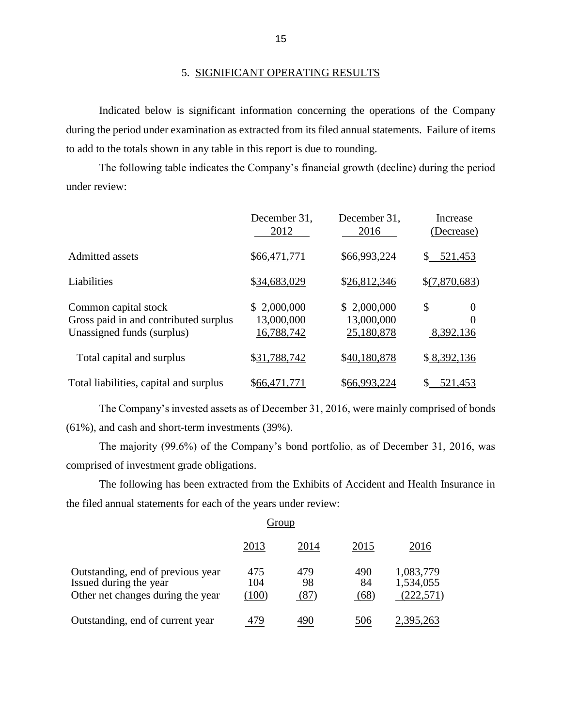#### 5. SIGNIFICANT OPERATING RESULTS

Indicated below is significant information concerning the operations of the Company during the period under examination as extracted from its filed annual statements. Failure of items to add to the totals shown in any table in this report is due to rounding.

The following table indicates the Company's financial growth (decline) during the period under review:

|                                                                                             | December 31,<br>2012                    | December 31,<br>2016                    | Increase<br>(Decrease)           |
|---------------------------------------------------------------------------------------------|-----------------------------------------|-----------------------------------------|----------------------------------|
| Admitted assets                                                                             | \$66,471,771                            | \$66,993,224                            | 521,453                          |
| Liabilities                                                                                 | \$34,683,029                            | \$26,812,346                            | \$(7,870,683)                    |
| Common capital stock<br>Gross paid in and contributed surplus<br>Unassigned funds (surplus) | \$2,000,000<br>13,000,000<br>16,788,742 | \$2,000,000<br>13,000,000<br>25,180,878 | \$<br>$\theta$<br>0<br>8,392,136 |
| Total capital and surplus                                                                   | \$31,788,742                            | \$40,180,878                            | \$8,392,136                      |
| Total liabilities, capital and surplus                                                      | \$66,471,771                            | \$66,993,224                            | 521,453                          |

The Company's invested assets as of December 31, 2016, were mainly comprised of bonds (61%), and cash and short-term investments (39%).

The majority (99.6%) of the Company's bond portfolio, as of December 31, 2016, was comprised of investment grade obligations.

The following has been extracted from the Exhibits of Accident and Health Insurance in the filed annual statements for each of the years under review:

|                                                                                                  | 2013                | 2014              | 2015              | 2016                                 |
|--------------------------------------------------------------------------------------------------|---------------------|-------------------|-------------------|--------------------------------------|
| Outstanding, end of previous year<br>Issued during the year<br>Other net changes during the year | 475<br>104<br>(100) | 479<br>98<br>(87) | 490<br>84<br>(68) | 1,083,779<br>1,534,055<br>(222, 571) |
| Outstanding, end of current year                                                                 |                     |                   | 506               | 2.395.263                            |

#### Group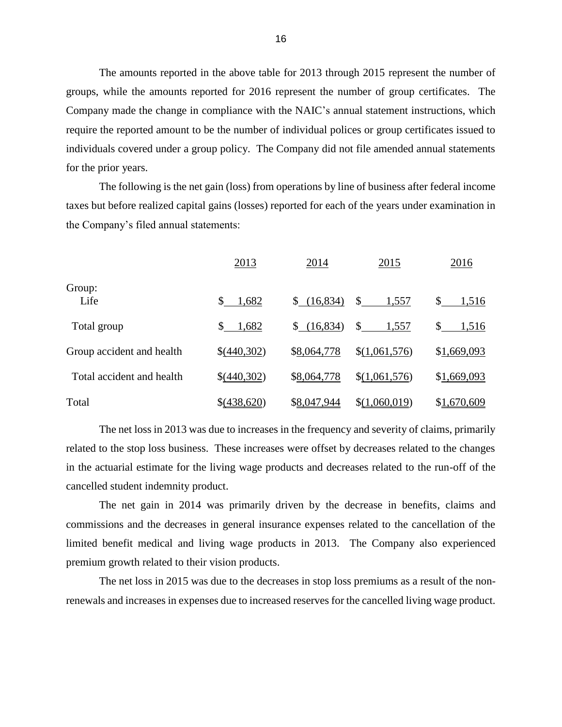The amounts reported in the above table for 2013 through 2015 represent the number of groups, while the amounts reported for 2016 represent the number of group certificates. The Company made the change in compliance with the NAIC's annual statement instructions, which require the reported amount to be the number of individual polices or group certificates issued to individuals covered under a group policy. The Company did not file amended annual statements for the prior years.

The following is the net gain (loss) from operations by line of business after federal income taxes but before realized capital gains (losses) reported for each of the years under examination in the Company's filed annual statements:

|                           | 2013         | 2014        | 2015          | 2016        |
|---------------------------|--------------|-------------|---------------|-------------|
| Group:<br>Life            | \$<br>1,682  | \$(16,834)  | \$<br>1,557   | \$<br>1,516 |
| Total group               | \$.<br>1,682 | \$(16,834)  | \$<br>1,557   | \$<br>1,516 |
| Group accident and health | \$(440,302)  | \$8,064,778 | \$(1,061,576) | \$1,669,093 |
| Total accident and health | \$(440,302)  | \$8,064,778 | \$(1,061,576) | \$1,669,093 |
| Total                     | \$(438,620)  | \$8,047,944 | \$(1,060,019) | \$1,670,609 |

The net loss in 2013 was due to increases in the frequency and severity of claims, primarily related to the stop loss business. These increases were offset by decreases related to the changes in the actuarial estimate for the living wage products and decreases related to the run-off of the cancelled student indemnity product.

The net gain in 2014 was primarily driven by the decrease in benefits, claims and commissions and the decreases in general insurance expenses related to the cancellation of the limited benefit medical and living wage products in 2013. The Company also experienced premium growth related to their vision products.

The net loss in 2015 was due to the decreases in stop loss premiums as a result of the nonrenewals and increases in expenses due to increased reserves for the cancelled living wage product.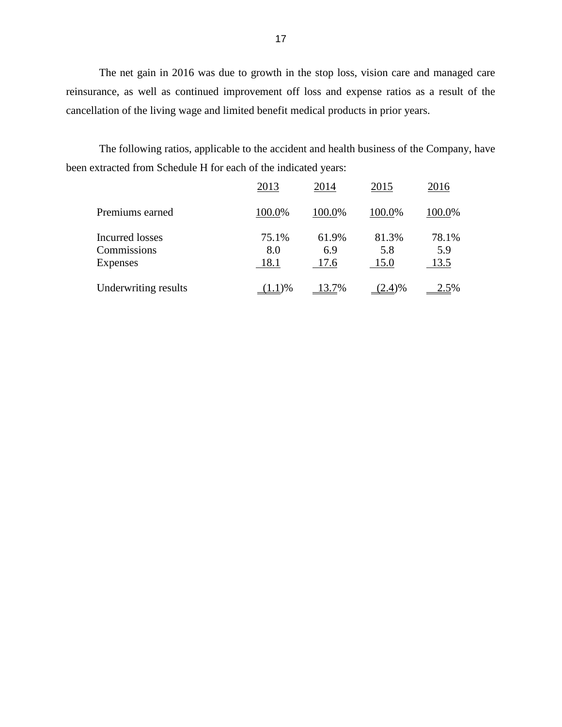The net gain in 2016 was due to growth in the stop loss, vision care and managed care reinsurance, as well as continued improvement off loss and expense ratios as a result of the cancellation of the living wage and limited benefit medical products in prior years.

The following ratios, applicable to the accident and health business of the Company, have been extracted from Schedule H for each of the indicated years:

|                                       | 2013         | 2014         | 2015         | 2016         |
|---------------------------------------|--------------|--------------|--------------|--------------|
| Premiums earned                       | 100.0%       | 100.0%       | 100.0%       | 100.0%       |
| <b>Incurred losses</b><br>Commissions | 75.1%<br>8.0 | 61.9%<br>6.9 | 81.3%<br>5.8 | 78.1%<br>5.9 |
| <b>Expenses</b>                       | 18.1         | 17.6         | 15.0         | 13.5         |
| Underwriting results                  | $(1.1)\%$    | 13.7%        | (2.4)%       | 2.5%         |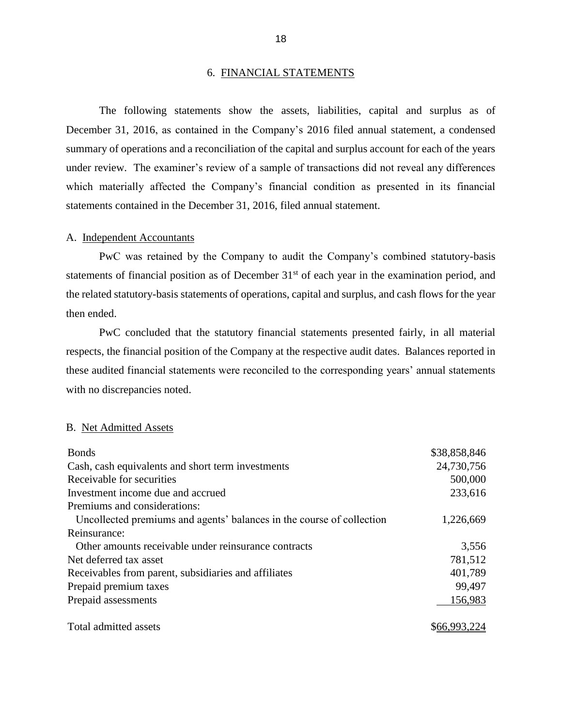#### 6. FINANCIAL STATEMENTS

The following statements show the assets, liabilities, capital and surplus as of December 31, 2016, as contained in the Company's 2016 filed annual statement, a condensed summary of operations and a reconciliation of the capital and surplus account for each of the years under review. The examiner's review of a sample of transactions did not reveal any differences which materially affected the Company's financial condition as presented in its financial statements contained in the December 31, 2016, filed annual statement.

#### A. Independent Accountants

PwC was retained by the Company to audit the Company's combined statutory-basis statements of financial position as of December 31<sup>st</sup> of each year in the examination period, and the related statutory-basis statements of operations, capital and surplus, and cash flows for the year then ended.

PwC concluded that the statutory financial statements presented fairly, in all material respects, the financial position of the Company at the respective audit dates. Balances reported in these audited financial statements were reconciled to the corresponding years' annual statements with no discrepancies noted.

#### B. Net Admitted Assets

| <b>Bonds</b>                                                          | \$38,858,846 |
|-----------------------------------------------------------------------|--------------|
| Cash, cash equivalents and short term investments                     | 24,730,756   |
| Receivable for securities                                             | 500,000      |
| Investment income due and accrued                                     | 233,616      |
| Premiums and considerations:                                          |              |
| Uncollected premiums and agents' balances in the course of collection | 1,226,669    |
| Reinsurance:                                                          |              |
| Other amounts receivable under reinsurance contracts                  | 3,556        |
| Net deferred tax asset                                                | 781,512      |
| Receivables from parent, subsidiaries and affiliates                  | 401,789      |
| Prepaid premium taxes                                                 | 99,497       |
| Prepaid assessments                                                   | 156,983      |
| Total admitted assets                                                 | \$66,993,224 |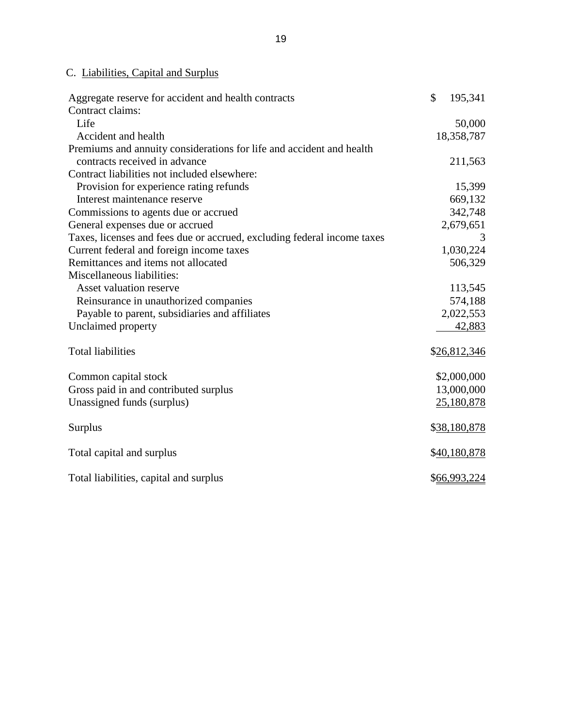## C. Liabilities, Capital and Surplus

| Aggregate reserve for accident and health contracts                     | \$<br>195,341 |
|-------------------------------------------------------------------------|---------------|
| Contract claims:                                                        |               |
| Life                                                                    | 50,000        |
| Accident and health                                                     | 18,358,787    |
| Premiums and annuity considerations for life and accident and health    |               |
| contracts received in advance                                           | 211,563       |
| Contract liabilities not included elsewhere:                            |               |
| Provision for experience rating refunds                                 | 15,399        |
| Interest maintenance reserve                                            | 669,132       |
| Commissions to agents due or accrued                                    | 342,748       |
| General expenses due or accrued                                         | 2,679,651     |
| Taxes, licenses and fees due or accrued, excluding federal income taxes | 3             |
| Current federal and foreign income taxes                                | 1,030,224     |
| Remittances and items not allocated                                     | 506,329       |
| Miscellaneous liabilities:                                              |               |
| Asset valuation reserve                                                 | 113,545       |
| Reinsurance in unauthorized companies                                   | 574,188       |
| Payable to parent, subsidiaries and affiliates                          | 2,022,553     |
| Unclaimed property                                                      | 42,883        |
| <b>Total liabilities</b>                                                | \$26,812,346  |
| Common capital stock                                                    | \$2,000,000   |
| Gross paid in and contributed surplus                                   | 13,000,000    |
| Unassigned funds (surplus)                                              | 25,180,878    |
| <b>Surplus</b>                                                          | \$38,180,878  |
| Total capital and surplus                                               | \$40,180,878  |
| Total liabilities, capital and surplus                                  | \$66,993,224  |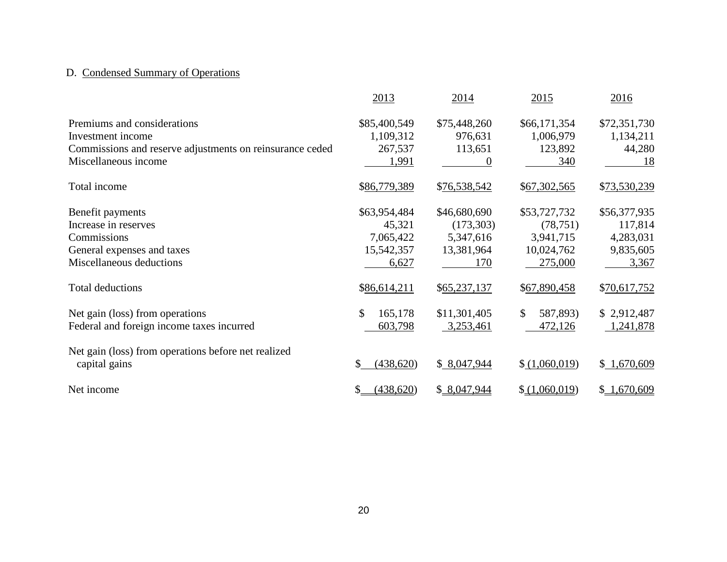## D. Condensed Summary of Operations

|                                                          | 2013            | 2014           | 2015                     | 2016         |
|----------------------------------------------------------|-----------------|----------------|--------------------------|--------------|
| Premiums and considerations                              | \$85,400,549    | \$75,448,260   | \$66,171,354             | \$72,351,730 |
| Investment income                                        | 1,109,312       | 976,631        | 1,006,979                | 1,134,211    |
| Commissions and reserve adjustments on reinsurance ceded | 267,537         | 113,651        | 123,892                  | 44,280       |
| Miscellaneous income                                     | 1,991           | $\overline{0}$ | 340                      | 18           |
| Total income                                             | \$86,779,389    | \$76,538,542   | \$67,302,565             | \$73,530,239 |
| Benefit payments                                         | \$63,954,484    | \$46,680,690   | \$53,727,732             | \$56,377,935 |
| Increase in reserves                                     | 45,321          | (173,303)      | (78, 751)                | 117,814      |
| Commissions                                              | 7,065,422       | 5,347,616      | 3,941,715                | 4,283,031    |
| General expenses and taxes                               | 15,542,357      | 13,381,964     | 10,024,762               | 9,835,605    |
| Miscellaneous deductions                                 | 6,627           | 170            | 275,000                  | 3,367        |
| <b>Total deductions</b>                                  | \$86,614,211    | \$65,237,137   | \$67,890,458             | \$70,617,752 |
| Net gain (loss) from operations                          | \$<br>165,178   | \$11,301,405   | $\mathbb{S}$<br>587,893) | \$2,912,487  |
| Federal and foreign income taxes incurred                | 603,798         | 3,253,461      | 472,126                  | 1,241,878    |
| Net gain (loss) from operations before net realized      |                 |                |                          |              |
| capital gains                                            | (438, 620)      | \$8,047,944    | \$(1,060,019)            | \$1,670,609  |
| Net income                                               | (438,620)<br>\$ | \$8,047,944    | \$(1,060,019)            | \$1,670,609  |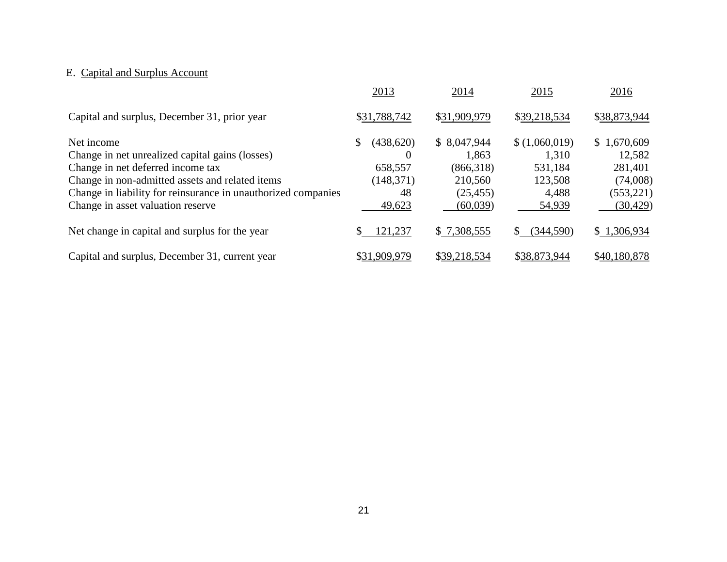## E. Capital and Surplus Account

|                                                               | 2013            | 2014         | 2015            | 2016         |
|---------------------------------------------------------------|-----------------|--------------|-----------------|--------------|
| Capital and surplus, December 31, prior year                  | \$31,788,742    | \$31,909,979 | \$39,218,534    | \$38,873,944 |
| Net income                                                    | (438,620)<br>\$ | \$8,047,944  | \$(1,060,019)   | \$1,670,609  |
| Change in net unrealized capital gains (losses)               | $\theta$        | 1,863        | 1,310           | 12,582       |
| Change in net deferred income tax                             | 658,557         | (866,318)    | 531,184         | 281,401      |
| Change in non-admitted assets and related items               | (148, 371)      | 210,560      | 123,508         | (74,008)     |
| Change in liability for reinsurance in unauthorized companies | 48              | (25, 455)    | 4,488           | (553, 221)   |
| Change in asset valuation reserve                             | 49,623          | (60,039)     | 54,939          | (30, 429)    |
| Net change in capital and surplus for the year                | 121,237         | \$7,308,555  | (344,590)<br>S. | \$1,306,934  |
| Capital and surplus, December 31, current year                | \$31,909,979    | \$39,218,534 | \$38,873,944    | \$40,180,878 |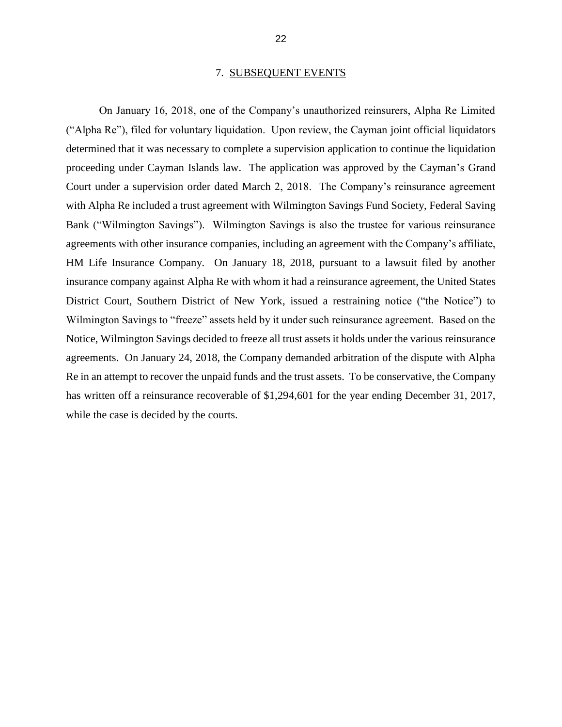#### 7. SUBSEQUENT EVENTS

On January 16, 2018, one of the Company's unauthorized reinsurers, Alpha Re Limited ("Alpha Re"), filed for voluntary liquidation. Upon review, the Cayman joint official liquidators determined that it was necessary to complete a supervision application to continue the liquidation proceeding under Cayman Islands law. The application was approved by the Cayman's Grand Court under a supervision order dated March 2, 2018. The Company's reinsurance agreement with Alpha Re included a trust agreement with Wilmington Savings Fund Society, Federal Saving Bank ("Wilmington Savings"). Wilmington Savings is also the trustee for various reinsurance agreements with other insurance companies, including an agreement with the Company's affiliate, HM Life Insurance Company. On January 18, 2018, pursuant to a lawsuit filed by another insurance company against Alpha Re with whom it had a reinsurance agreement, the United States District Court, Southern District of New York, issued a restraining notice ("the Notice") to Wilmington Savings to "freeze" assets held by it under such reinsurance agreement. Based on the Notice, Wilmington Savings decided to freeze all trust assets it holds under the various reinsurance agreements. On January 24, 2018, the Company demanded arbitration of the dispute with Alpha Re in an attempt to recover the unpaid funds and the trust assets. To be conservative, the Company has written off a reinsurance recoverable of \$1,294,601 for the year ending December 31, 2017, while the case is decided by the courts.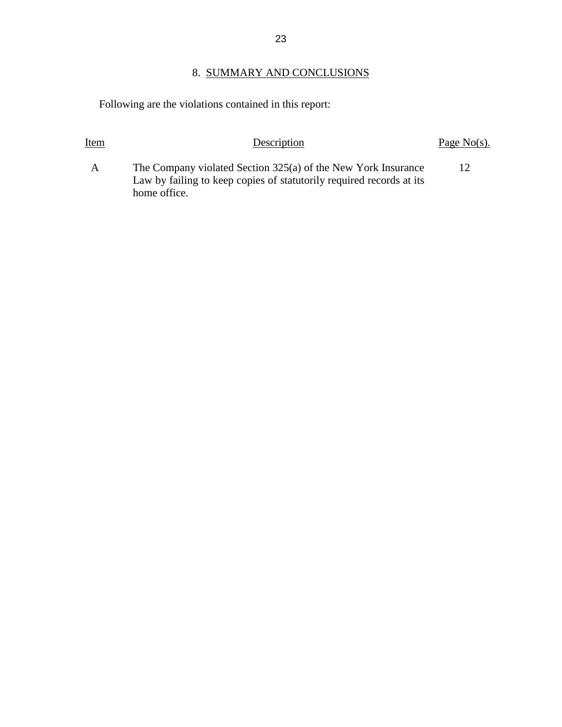### 8. SUMMARY AND CONCLUSIONS

Following are the violations contained in this report:

# Item Description Description Page No(s). A The Company violated Section 325(a) of the New York Insurance

Law by failing to keep copies of statutorily required records at its home office. 12